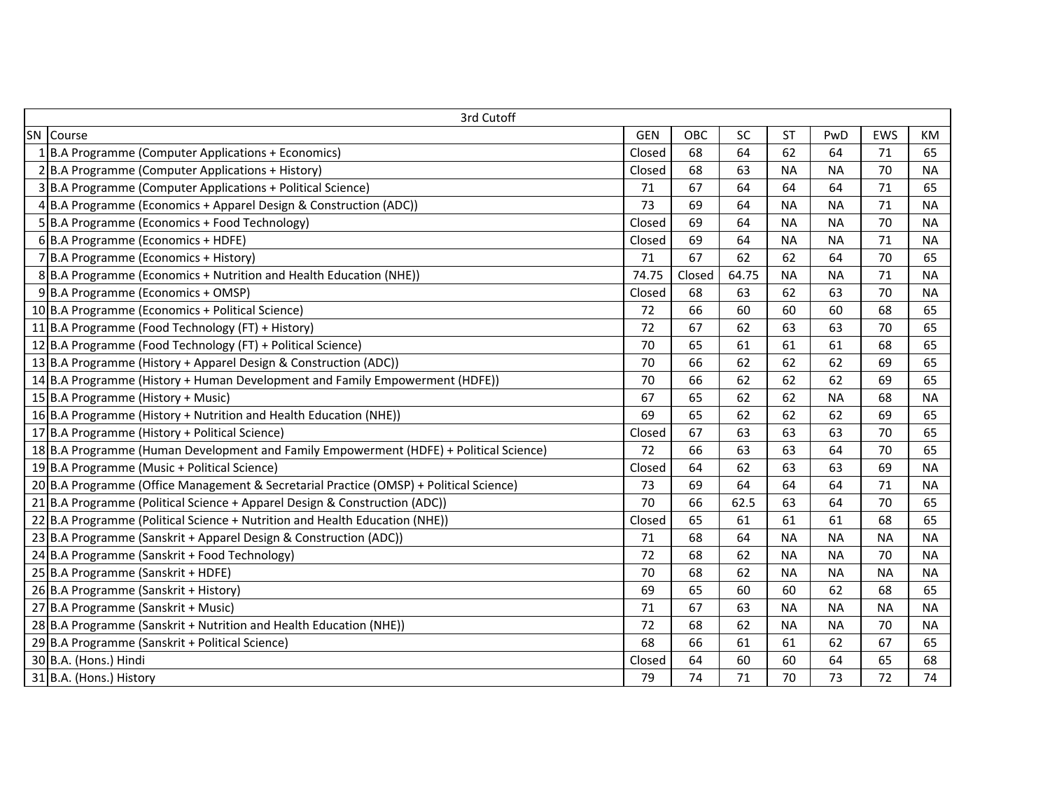| 3rd Cutoff |                                                                                        |            |        |           |           |           |           |           |  |  |
|------------|----------------------------------------------------------------------------------------|------------|--------|-----------|-----------|-----------|-----------|-----------|--|--|
| SN         | Course                                                                                 | <b>GEN</b> | OBC    | <b>SC</b> | <b>ST</b> | PwD       | EWS       | KM        |  |  |
|            | B.A Programme (Computer Applications + Economics)                                      | Closed     | 68     | 64        | 62        | 64        | 71        | 65        |  |  |
|            | 2B.A Programme (Computer Applications + History)                                       | Closed     | 68     | 63        | <b>NA</b> | <b>NA</b> | 70        | <b>NA</b> |  |  |
|            | 3 B.A Programme (Computer Applications + Political Science)                            | 71         | 67     | 64        | 64        | 64        | 71        | 65        |  |  |
|            | 4B.A Programme (Economics + Apparel Design & Construction (ADC))                       | 73         | 69     | 64        | <b>NA</b> | <b>NA</b> | 71        | <b>NA</b> |  |  |
|            | 5 B.A Programme (Economics + Food Technology)                                          | Closed     | 69     | 64        | <b>NA</b> | <b>NA</b> | 70        | <b>NA</b> |  |  |
|            | 6B.A Programme (Economics + HDFE)                                                      | Closed     | 69     | 64        | <b>NA</b> | <b>NA</b> | 71        | <b>NA</b> |  |  |
|            | 7B.A Programme (Economics + History)                                                   | 71         | 67     | 62        | 62        | 64        | 70        | 65        |  |  |
|            | 8B.A Programme (Economics + Nutrition and Health Education (NHE))                      | 74.75      | Closed | 64.75     | <b>NA</b> | <b>NA</b> | 71        | <b>NA</b> |  |  |
|            | 9B.A Programme (Economics + OMSP)                                                      | Closed     | 68     | 63        | 62        | 63        | 70        | <b>NA</b> |  |  |
|            | 10 B.A Programme (Economics + Political Science)                                       | 72         | 66     | 60        | 60        | 60        | 68        | 65        |  |  |
|            | 11 B.A Programme (Food Technology (FT) + History)                                      | 72         | 67     | 62        | 63        | 63        | 70        | 65        |  |  |
|            | 12 B.A Programme (Food Technology (FT) + Political Science)                            | 70         | 65     | 61        | 61        | 61        | 68        | 65        |  |  |
|            | 13 B.A Programme (History + Apparel Design & Construction (ADC))                       | 70         | 66     | 62        | 62        | 62        | 69        | 65        |  |  |
|            | 14 B.A Programme (History + Human Development and Family Empowerment (HDFE))           | 70         | 66     | 62        | 62        | 62        | 69        | 65        |  |  |
|            | 15 B.A Programme (History + Music)                                                     | 67         | 65     | 62        | 62        | <b>NA</b> | 68        | <b>NA</b> |  |  |
|            | 16 B.A Programme (History + Nutrition and Health Education (NHE))                      | 69         | 65     | 62        | 62        | 62        | 69        | 65        |  |  |
|            | 17 B.A Programme (History + Political Science)                                         | Closed     | 67     | 63        | 63        | 63        | 70        | 65        |  |  |
|            | 18 B.A Programme (Human Development and Family Empowerment (HDFE) + Political Science) | 72         | 66     | 63        | 63        | 64        | 70        | 65        |  |  |
|            | 19 B.A Programme (Music + Political Science)                                           | Closed     | 64     | 62        | 63        | 63        | 69        | <b>NA</b> |  |  |
|            | 20 B.A Programme (Office Management & Secretarial Practice (OMSP) + Political Science) | 73         | 69     | 64        | 64        | 64        | 71        | <b>NA</b> |  |  |
|            | 21 B.A Programme (Political Science + Apparel Design & Construction (ADC))             | 70         | 66     | 62.5      | 63        | 64        | 70        | 65        |  |  |
|            | $22 B.A$ Programme (Political Science + Nutrition and Health Education (NHE))          | Closed     | 65     | 61        | 61        | 61        | 68        | 65        |  |  |
|            | 23 B.A Programme (Sanskrit + Apparel Design & Construction (ADC))                      | 71         | 68     | 64        | <b>NA</b> | <b>NA</b> | <b>NA</b> | <b>NA</b> |  |  |
|            | 24 B.A Programme (Sanskrit + Food Technology)                                          | 72         | 68     | 62        | <b>NA</b> | <b>NA</b> | 70        | <b>NA</b> |  |  |
|            | 25 B.A Programme (Sanskrit + HDFE)                                                     | 70         | 68     | 62        | <b>NA</b> | <b>NA</b> | <b>NA</b> | <b>NA</b> |  |  |
|            | 26 B.A Programme (Sanskrit + History)                                                  | 69         | 65     | 60        | 60        | 62        | 68        | 65        |  |  |
|            | 27 B.A Programme (Sanskrit + Music)                                                    | 71         | 67     | 63        | <b>NA</b> | <b>NA</b> | <b>NA</b> | <b>NA</b> |  |  |
|            | 28 B.A Programme (Sanskrit + Nutrition and Health Education (NHE))                     | 72         | 68     | 62        | <b>NA</b> | <b>NA</b> | 70        | <b>NA</b> |  |  |
|            | 29 B.A Programme (Sanskrit + Political Science)                                        | 68         | 66     | 61        | 61        | 62        | 67        | 65        |  |  |
|            | 30 B.A. (Hons.) Hindi                                                                  | Closed     | 64     | 60        | 60        | 64        | 65        | 68        |  |  |
|            | 31 B.A. (Hons.) History                                                                | 79         | 74     | 71        | 70        | 73        | 72        | 74        |  |  |